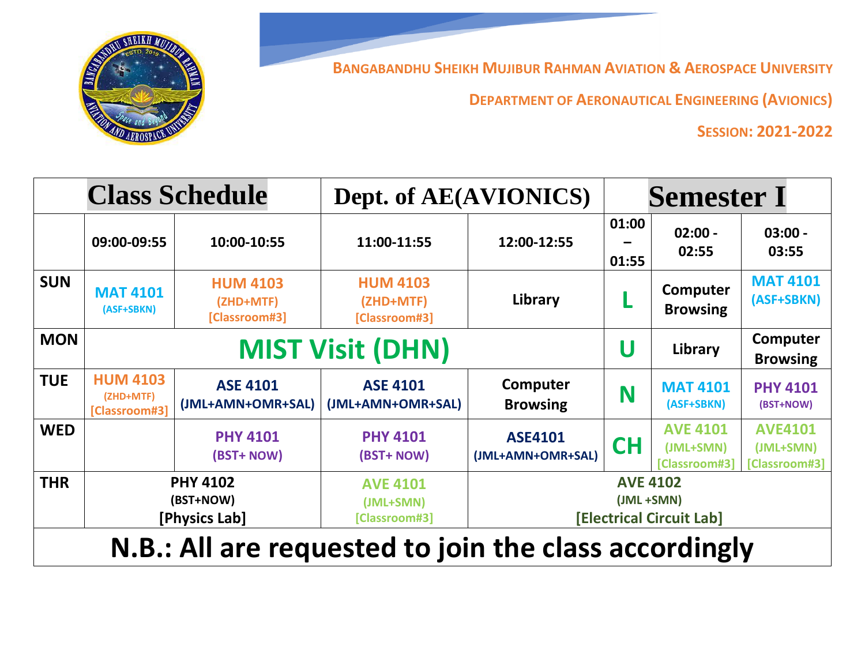**BANGABANDHU SHEIKH MUJIBUR RAHMAN AVIATION & AEROSPACE UNIVERSITY**



**DEPARTMENT OF AERONAUTICAL ENGINEERING (AVIONICS)**

**SESSION: 2021-2022**

|                                                       | <b>Class Schedule</b>                         |                                               | Dept. of AE(AVIONICS)                         |                                                                  | <b>Semester I</b>                           |                                               |                                              |  |
|-------------------------------------------------------|-----------------------------------------------|-----------------------------------------------|-----------------------------------------------|------------------------------------------------------------------|---------------------------------------------|-----------------------------------------------|----------------------------------------------|--|
|                                                       | 09:00-09:55                                   | 10:00-10:55                                   | 11:00-11:55                                   | 12:00-12:55                                                      | 01:00<br>01:55                              | $02:00 -$<br>02:55                            | $03:00 -$<br>03:55                           |  |
| <b>SUN</b>                                            | <b>MAT 4101</b><br>(ASF+SBKN)                 | <b>HUM 4103</b><br>(ZHD+MTF)<br>[Classroom#3] | <b>HUM 4103</b><br>(ZHD+MTF)<br>[Classroom#3] | Library                                                          |                                             | Computer<br><b>Browsing</b>                   | <b>MAT 4101</b><br>(ASF+SBKN)                |  |
| <b>MON</b>                                            |                                               |                                               | <b>MIST Visit (DHN)</b>                       |                                                                  | Computer<br>U<br>Library<br><b>Browsing</b> |                                               |                                              |  |
| <b>TUE</b>                                            | <b>HUM 4103</b><br>(ZHD+MTF)<br>[Classroom#3] | <b>ASE 4101</b><br>(JML+AMN+OMR+SAL)          | <b>ASE 4101</b><br>(JML+AMN+OMR+SAL)          | Computer<br><b>Browsing</b>                                      | N                                           | <b>MAT 4101</b><br>(ASF+SBKN)                 | <b>PHY 4101</b><br>(BST+NOW)                 |  |
| <b>WED</b>                                            |                                               | <b>PHY 4101</b><br>(BST+ NOW)                 | <b>PHY 4101</b><br>(BST+ NOW)                 | <b>ASE4101</b><br>(JML+AMN+OMR+SAL)                              | <b>CH</b>                                   | <b>AVE 4101</b><br>(JML+SMN)<br>[Classroom#3] | <b>AVE4101</b><br>(JML+SMN)<br>[Classroom#3] |  |
| <b>THR</b>                                            | <b>PHY 4102</b><br>(BST+NOW)<br>[Physics Lab] |                                               | <b>AVE 4101</b><br>(JML+SMN)<br>[Classroom#3] | <b>AVE 4102</b><br>(JML +SMN)<br><b>[Electrical Circuit Lab]</b> |                                             |                                               |                                              |  |
| N.B.: All are requested to join the class accordingly |                                               |                                               |                                               |                                                                  |                                             |                                               |                                              |  |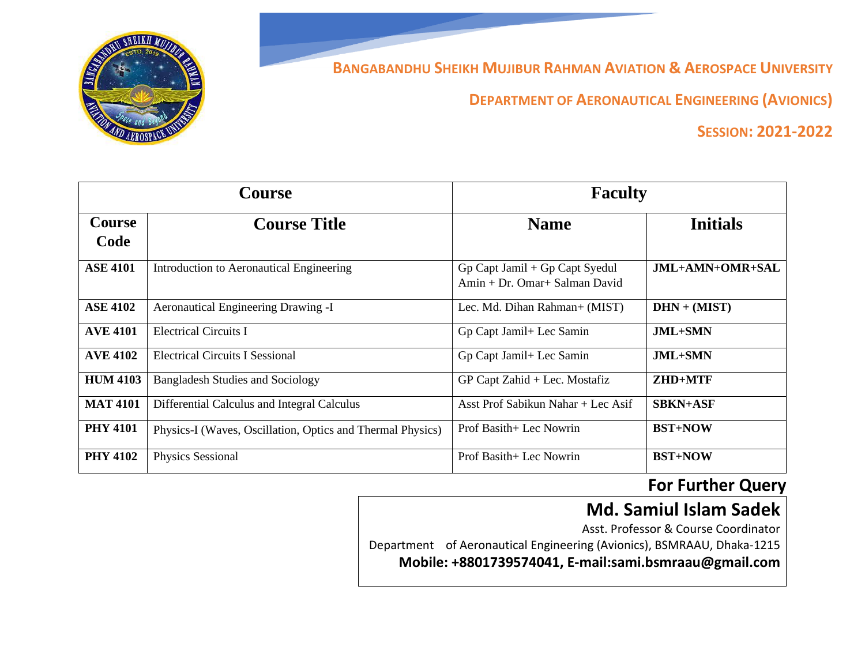

**BANGABANDHU SHEIKH MUJIBUR RAHMAN AVIATION & AEROSPACE UNIVERSITY**

**DEPARTMENT OF AERONAUTICAL ENGINEERING (AVIONICS)**

**SESSION: 2021-2022**

|                 | <b>Course</b>                                              | <b>Faculty</b>                                                  |                 |  |
|-----------------|------------------------------------------------------------|-----------------------------------------------------------------|-----------------|--|
| Course          | <b>Course Title</b>                                        | <b>Name</b>                                                     | <b>Initials</b> |  |
| Code            |                                                            |                                                                 |                 |  |
| <b>ASE 4101</b> | Introduction to Aeronautical Engineering                   | Gp Capt Jamil + Gp Capt Syedul<br>Amin + Dr. Omar+ Salman David | JML+AMN+OMR+SAL |  |
|                 |                                                            |                                                                 |                 |  |
| <b>ASE 4102</b> | Aeronautical Engineering Drawing -I                        | Lec. Md. Dihan Rahman+ (MIST)                                   | $DHN + (MIST)$  |  |
| <b>AVE 4101</b> | <b>Electrical Circuits I</b>                               | Gp Capt Jamil+ Lec Samin                                        | JML+SMN         |  |
| <b>AVE 4102</b> | <b>Electrical Circuits I Sessional</b>                     | Gp Capt Jamil+ Lec Samin                                        | JML+SMN         |  |
| <b>HUM 4103</b> | <b>Bangladesh Studies and Sociology</b>                    | GP Capt Zahid + Lec. Mostafiz                                   | ZHD+MTF         |  |
| <b>MAT 4101</b> | Differential Calculus and Integral Calculus                | Asst Prof Sabikun Nahar + Lec Asif                              | <b>SBKN+ASF</b> |  |
| <b>PHY 4101</b> | Physics-I (Waves, Oscillation, Optics and Thermal Physics) | Prof Basith+ Lec Nowrin                                         | <b>BST+NOW</b>  |  |
| <b>PHY 4102</b> | Physics Sessional                                          | Prof Basith+ Lec Nowrin                                         | <b>BST+NOW</b>  |  |

## **For Further Query**

## **Md. Samiul Islam Sadek**

Asst. Professor & Course Coordinator Department of Aeronautical Engineering (Avionics), BSMRAAU, Dhaka-1215 **Mobile: +8801739574041, E-mail:sami.bsmraau@gmail.com**